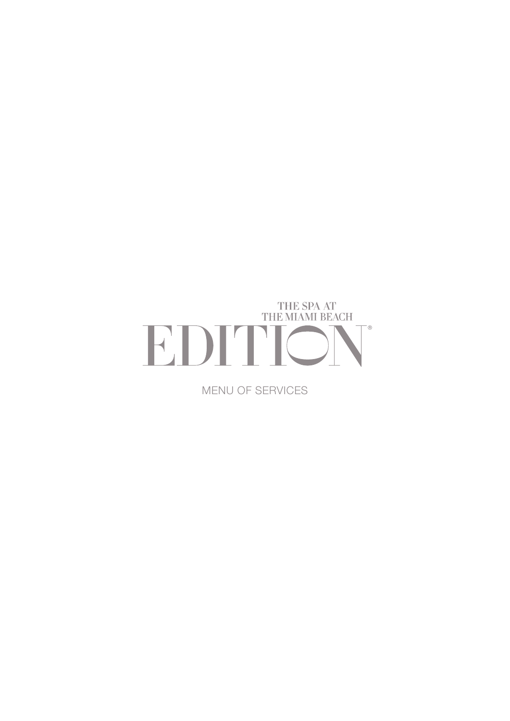

MENU OF SERVICES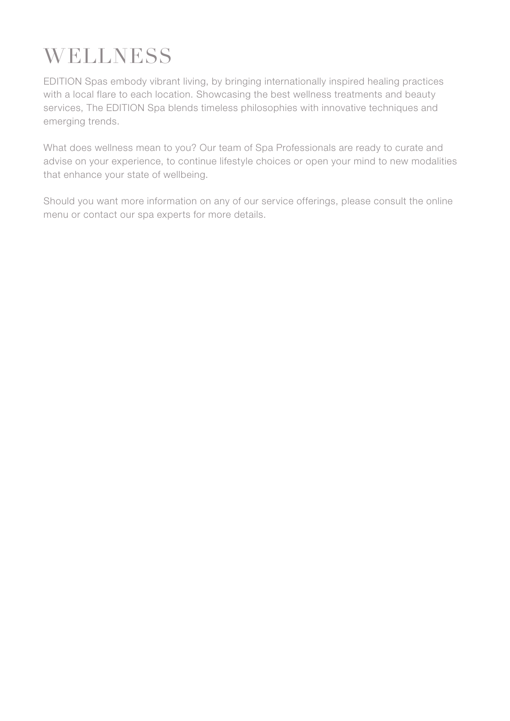# **WELLNESS**

EDITION Spas embody vibrant living, by bringing internationally inspired healing practices with a local flare to each location. Showcasing the best wellness treatments and beauty services, The EDITION Spa blends timeless philosophies with innovative techniques and emerging trends.

What does wellness mean to you? Our team of Spa Professionals are ready to curate and advise on your experience, to continue lifestyle choices or open your mind to new modalities that enhance your state of wellbeing.

Should you want more information on any of our service offerings, please consult the online menu or contact our spa experts for more details.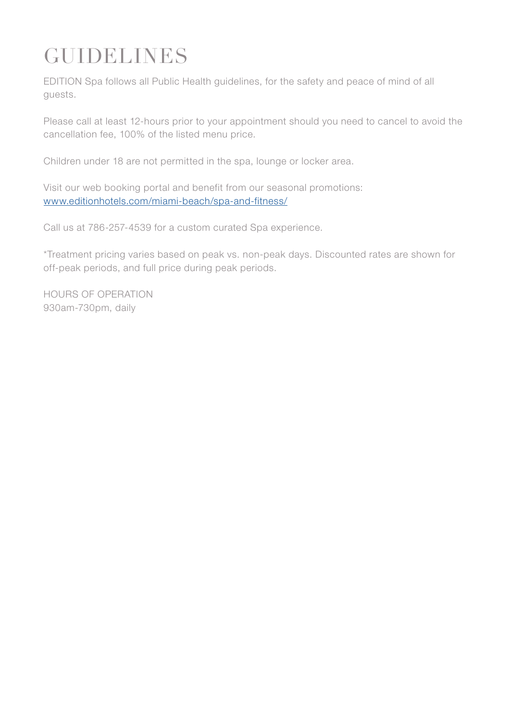# **GUIDELINES**

EDITION Spa follows all Public Health guidelines, for the safety and peace of mind of all guests.

Please call at least 12-hours prior to your appointment should you need to cancel to avoid the cancellation fee, 100% of the listed menu price.

Children under 18 are not permitted in the spa, lounge or locker area.

Visit our web booking portal and benefit from our seasonal promotions: [www.editionhotels.com/miami-beach/spa-and-fitness/](http://www.editionhotels.com/miami-beach/spa-and-fitness/  )

Call us at 786-257-4539 for a custom curated Spa experience.

\*Treatment pricing varies based on peak vs. non-peak days. Discounted rates are shown for off-peak periods, and full price during peak periods.

HOURS OF OPERATION 930am-730pm, daily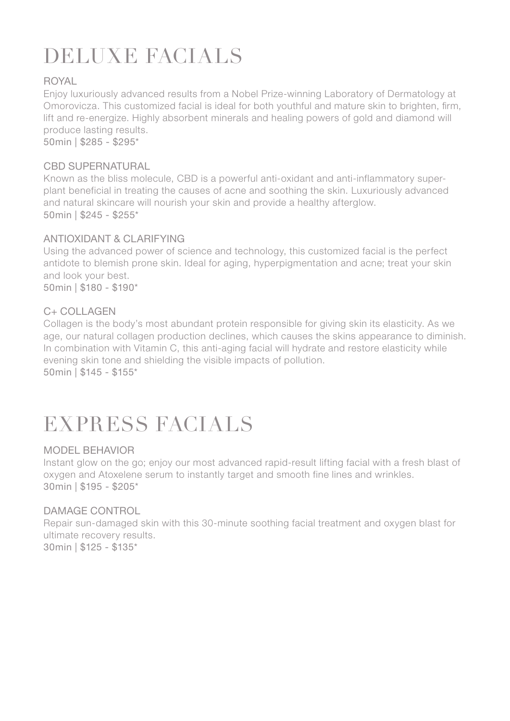# DELUXE FACIALS

#### ROYAL

Enjoy luxuriously advanced results from a Nobel Prize-winning Laboratory of Dermatology at Omorovicza. This customized facial is ideal for both youthful and mature skin to brighten, firm, lift and re-energize. Highly absorbent minerals and healing powers of gold and diamond will produce lasting results.

50min | \$285 - \$295\*

#### CBD SUPERNATURAL

Known as the bliss molecule, CBD is a powerful anti-oxidant and anti-inflammatory superplant beneficial in treating the causes of acne and soothing the skin. Luxuriously advanced and natural skincare will nourish your skin and provide a healthy afterglow. 50min | \$245 - \$255\*

#### ANTIOXIDANT & CLARIFYING

Using the advanced power of science and technology, this customized facial is the perfect antidote to blemish prone skin. Ideal for aging, hyperpigmentation and acne; treat your skin and look your best. 50min | \$180 - \$190\*

C+ COLLAGEN

Collagen is the body's most abundant protein responsible for giving skin its elasticity. As we age, our natural collagen production declines, which causes the skins appearance to diminish. In combination with Vitamin C, this anti-aging facial will hydrate and restore elasticity while evening skin tone and shielding the visible impacts of pollution. 50min | \$145 - \$155\*

EXPRESS FACIALS

#### MODEL BEHAVIOR

Instant glow on the go; enjoy our most advanced rapid-result lifting facial with a fresh blast of oxygen and Atoxelene serum to instantly target and smooth fine lines and wrinkles. 30min | \$195 - \$205\*

#### DAMAGE CONTROL

Repair sun-damaged skin with this 30-minute soothing facial treatment and oxygen blast for ultimate recovery results. 30min | \$125 - \$135\*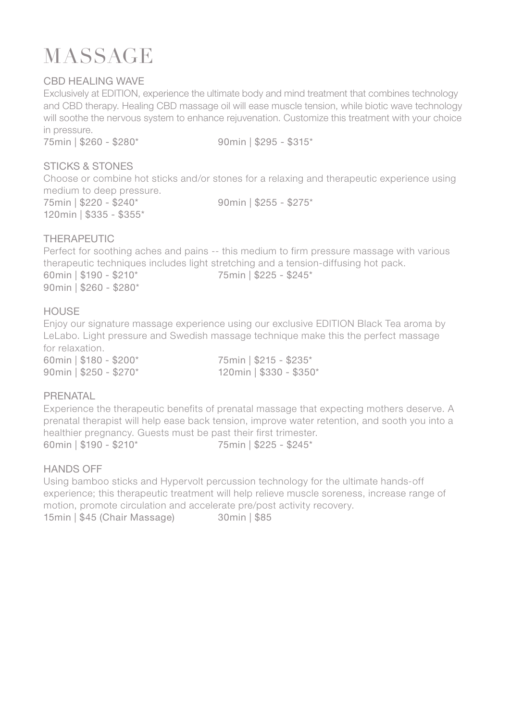### **MASSAGE**

#### CBD HEALING WAVE

Exclusively at EDITION, experience the ultimate body and mind treatment that combines technology and CBD therapy. Healing CBD massage oil will ease muscle tension, while biotic wave technology will soothe the nervous system to enhance rejuvenation. Customize this treatment with your choice in pressure.

75min | \$260 - \$280\* 90min | \$295 - \$315\*

#### STICKS & STONES

Choose or combine hot sticks and/or stones for a relaxing and therapeutic experience using medium to deep pressure.

75min | \$220 - \$240\* 90min | \$255 - \$275\* 120min | \$335 - \$355\*

#### THERAPEUTIC

Perfect for soothing aches and pains -- this medium to firm pressure massage with various therapeutic techniques includes light stretching and a tension-diffusing hot pack. 60min | \$190 - \$210\* 75min | \$225 - \$245\* 90min | \$260 - \$280\*

#### **HOUSE**

Enjoy our signature massage experience using our exclusive EDITION Black Tea aroma by LeLabo. Light pressure and Swedish massage technique make this the perfect massage for relaxation.

60min | \$180 - \$200\* 75min | \$215 - \$235\* 90min | \$250 - \$270\* 120min | \$330 - \$350\*

#### PRENATAL

Experience the therapeutic benefits of prenatal massage that expecting mothers deserve. A prenatal therapist will help ease back tension, improve water retention, and sooth you into a healthier pregnancy. Guests must be past their first trimester. 60min | \$190 - \$210\* 75min | \$225 - \$245\*

#### HANDS OFF

Using bamboo sticks and Hypervolt percussion technology for the ultimate hands-off experience; this therapeutic treatment will help relieve muscle soreness, increase range of motion, promote circulation and accelerate pre/post activity recovery.

15min | \$45 (Chair Massage) 30min | \$85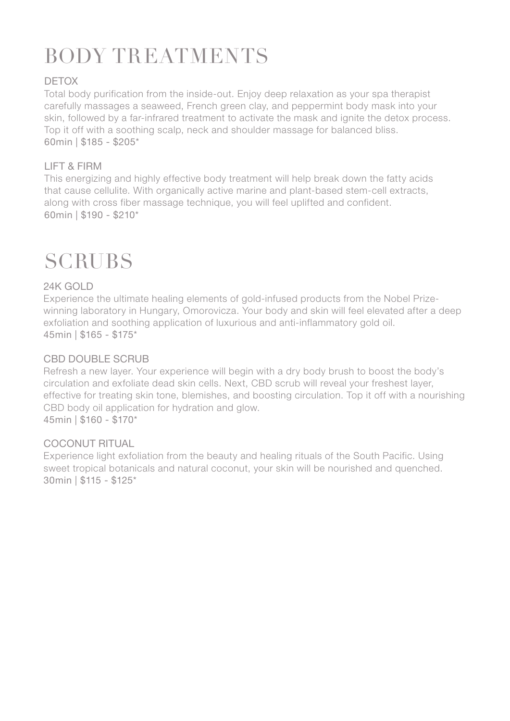# BODY TREATMENTS

#### DETOX

Total body purification from the inside-out. Enjoy deep relaxation as your spa therapist carefully massages a seaweed, French green clay, and peppermint body mask into your skin, followed by a far-infrared treatment to activate the mask and ignite the detox process. Top it off with a soothing scalp, neck and shoulder massage for balanced bliss. 60min | \$185 - \$205\*

#### LIFT & FIRM

This energizing and highly effective body treatment will help break down the fatty acids that cause cellulite. With organically active marine and plant-based stem-cell extracts, along with cross fiber massage technique, you will feel uplifted and confident. 60min | \$190 - \$210\*

### **SCRUBS**

#### 24K GOLD

Experience the ultimate healing elements of gold-infused products from the Nobel Prizewinning laboratory in Hungary, Omorovicza. Your body and skin will feel elevated after a deep exfoliation and soothing application of luxurious and anti-inflammatory gold oil. 45min | \$165 - \$175\*

#### CBD DOUBLE SCRUB

Refresh a new layer. Your experience will begin with a dry body brush to boost the body's circulation and exfoliate dead skin cells. Next, CBD scrub will reveal your freshest layer, effective for treating skin tone, blemishes, and boosting circulation. Top it off with a nourishing CBD body oil application for hydration and glow. 45min | \$160 - \$170\*

#### COCONUT RITUAL

Experience light exfoliation from the beauty and healing rituals of the South Pacific. Using sweet tropical botanicals and natural coconut, your skin will be nourished and quenched. 30min | \$115 - \$125\*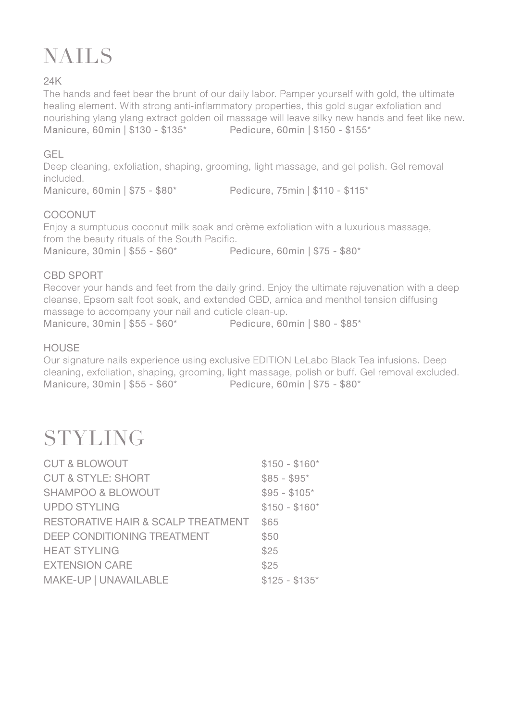## NAILS

#### 24K

The hands and feet bear the brunt of our daily labor. Pamper yourself with gold, the ultimate healing element. With strong anti-inflammatory properties, this gold sugar exfoliation and nourishing ylang ylang extract golden oil massage will leave silky new hands and feet like new. Manicure, 60min | \$130 - \$135\* Pedicure, 60min | \$150 - \$155\*

#### GEL

Deep cleaning, exfoliation, shaping, grooming, light massage, and gel polish. Gel removal included.

Manicure, 60min | \$75 - \$80\* Pedicure, 75min | \$110 - \$115\*

#### COCONUT

Enjoy a sumptuous coconut milk soak and crème exfoliation with a luxurious massage, from the beauty rituals of the South Pacific. Manicure, 30min | \$55 - \$60\* Pedicure, 60min | \$75 - \$80\*

#### CBD SPORT

Recover your hands and feet from the daily grind. Enjoy the ultimate rejuvenation with a deep cleanse, Epsom salt foot soak, and extended CBD, arnica and menthol tension diffusing massage to accompany your nail and cuticle clean-up. Manicure, 30min | \$55 - \$60\* Pedicure, 60min | \$80 - \$85\*

#### HOUSE

Our signature nails experience using exclusive EDITION LeLabo Black Tea infusions. Deep cleaning, exfoliation, shaping, grooming, light massage, polish or buff. Gel removal excluded. Manicure, 30min | \$55 - \$60\* Pedicure, 60min | \$75 - \$80\*

### **STYLING**

| <b>CUT &amp; BLOWOUT</b>           | $$150 - $160*$ |
|------------------------------------|----------------|
| <b>CUT &amp; STYLE: SHORT</b>      | $$85 - $95*$   |
| SHAMPOO & BLOWOUT                  | $$95 - $105*$  |
| <b>UPDO STYLING</b>                | $$150 - $160*$ |
| RESTORATIVE HAIR & SCALP TREATMENT | \$65           |
| DEEP CONDITIONING TREATMENT        | \$50           |
| <b>HEAT STYLING</b>                | \$25           |
| <b>EXTENSION CARE</b>              | \$25           |
| MAKE-UP   UNAVAILABLE              | $$125 - $135*$ |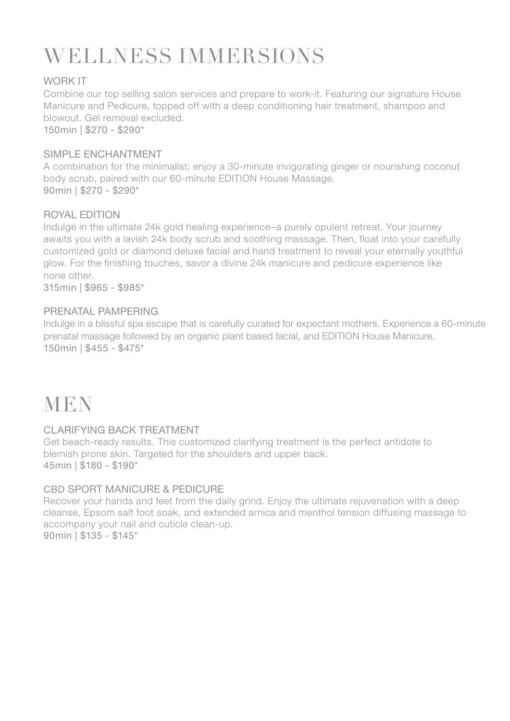## WELLNESS IMMERSIONS

#### WORK IT

Combine our top selling salon services and prepare to work-it. Featuring our signature House Manicure and Pedicure, topped off with a deep conditioning hair treatment, shampoo and blowout. Gel removal excluded. 150min | \$270 - \$290\*

#### SIMPLE ENCHANTMENT

A combination for the minimalist; enjoy a 30-minute invigorating ginger or nourishing coconut body scrub, paired with our 60-minute EDITION House Massage. 90min | \$270 - \$290\*

#### ROYAL EDITION

Indulge in the ultimate 24k gold healing experience–a purely opulent retreat. Your journey awaits you with a lavish 24k body scrub and soothing massage. Then, float into your carefully customized gold or diamond deluxe facial and hand treatment to reveal your eternally youthful glow. For the finishing touches, savor a divine 24k manicure and pedicure experience like none other.

315min | \$965 - \$985\*

#### PRENATAL PAMPERING

Indulge in a blissful spa escape that is carefully curated for expectant mothers. Experience a 60-minute prenatal massage followed by an organic plant based facial, and EDITION House Manicure. 150min | \$455 - \$475\*

### **MEN**

#### CLARIFYING BACK TREATMENT

Get beach-ready results. This customized clarifying treatment is the perfect antidote to blemish prone skin. Targeted for the shoulders and upper back. 45min | \$180 - \$190\*

#### CBD SPORT MANICURE & PEDICURE

Recover your hands and feet from the daily grind. Enjoy the ultimate rejuvenation with a deep cleanse, Epsom salt foot soak, and extended arnica and menthol tension diffusing massage to accompany your nail and cuticle clean-up. 90min | \$135 - \$145\*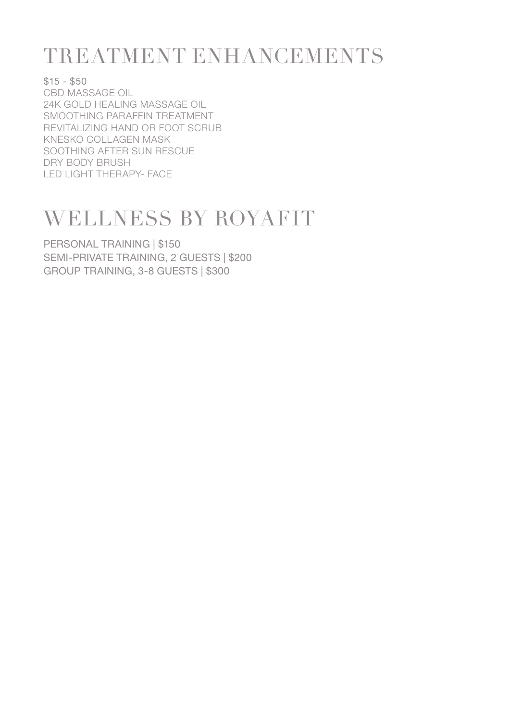### TREATMENT ENHANCEMENTS

 $$15 - $50$ CBD MASSAGE OIL 24K GOLD HEALING MASSAGE OIL SMOOTHING PARAFFIN TREATMENT REVITALIZING HAND OR FOOT SCRUB KNESKO COLLAGEN MASK SOOTHING AFTER SUN RESCUE DRY BODY BRUSH LED LIGHT THERAPY- FACE

### WELLNESS BY ROYAFIT

PERSONAL TRAINING | \$150 SEMI-PRIVATE TRAINING, 2 GUESTS | \$200 GROUP TRAINING, 3-8 GUESTS | \$300